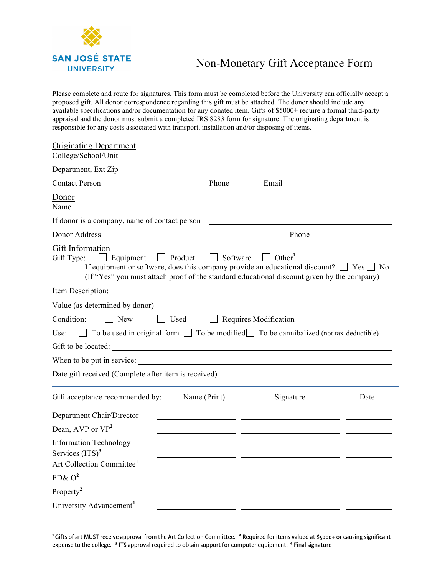

Please complete and route for signatures. This form must be completed before the University can officially accept a proposed gift. All donor correspondence regarding this gift must be attached. The donor should include any available specifications and/or documentation for any donated item. Gifts of \$5000+ require a formal third-party appraisal and the donor must submit a completed IRS 8283 form for signature. The originating department is responsible for any costs associated with transport, installation and/or disposing of items.

| <b>Originating Department</b><br>College/School/Unit                                                                                                                                                                                                                    |                 |                                          |      |  |  |
|-------------------------------------------------------------------------------------------------------------------------------------------------------------------------------------------------------------------------------------------------------------------------|-----------------|------------------------------------------|------|--|--|
| Department, Ext Zip                                                                                                                                                                                                                                                     |                 |                                          |      |  |  |
|                                                                                                                                                                                                                                                                         |                 |                                          |      |  |  |
| Donor<br>Name                                                                                                                                                                                                                                                           |                 |                                          |      |  |  |
| If donor is a company, name of contact person                                                                                                                                                                                                                           |                 |                                          |      |  |  |
|                                                                                                                                                                                                                                                                         |                 |                                          |      |  |  |
| Gift Information<br>$\Box$ Product<br>Gift Type:<br>$\Box$ Equipment<br>If equipment or software, does this company provide an educational discount? $\Box$ Yes $\Box$ No<br>(If "Yes" you must attach proof of the standard educational discount given by the company) | $\Box$ Software | $\Box$ Other <sup>1</sup>                |      |  |  |
| Item Description:                                                                                                                                                                                                                                                       |                 |                                          |      |  |  |
| Value (as determined by donor)                                                                                                                                                                                                                                          |                 |                                          |      |  |  |
| $\Box$ New<br>Condition:                                                                                                                                                                                                                                                |                 | $\Box$ Used $\Box$ Requires Modification |      |  |  |
| $\Box$ To be used in original form $\Box$ To be modified $\Box$ To be cannibalized (not tax-deductible)<br>Use:                                                                                                                                                         |                 |                                          |      |  |  |
|                                                                                                                                                                                                                                                                         |                 |                                          |      |  |  |
| When to be put in service:                                                                                                                                                                                                                                              |                 |                                          |      |  |  |
| Date gift received (Complete after item is received)                                                                                                                                                                                                                    |                 |                                          |      |  |  |
| Gift acceptance recommended by:                                                                                                                                                                                                                                         | Name (Print)    | Signature                                | Date |  |  |
| Department Chair/Director                                                                                                                                                                                                                                               |                 |                                          |      |  |  |
| Dean, AVP or VP <sup>2</sup>                                                                                                                                                                                                                                            |                 |                                          |      |  |  |
| <b>Information Technology</b><br>Services $(ITS)3$<br>Art Collection Committee <sup>1</sup>                                                                                                                                                                             |                 |                                          |      |  |  |
| $FD& O^2$                                                                                                                                                                                                                                                               |                 |                                          |      |  |  |
| Property <sup>2</sup>                                                                                                                                                                                                                                                   |                 |                                          |      |  |  |
| University Advancement <sup>4</sup>                                                                                                                                                                                                                                     |                 |                                          |      |  |  |

**<sup>1</sup>**Gifts of art MUST receive approval from the Art Collection Committee. **<sup>2</sup>** Required for items valued at \$5000+ or causing significant expense to the college. **<sup>3</sup>** ITS approval required to obtain support for computer equipment. **<sup>4</sup>** Final signature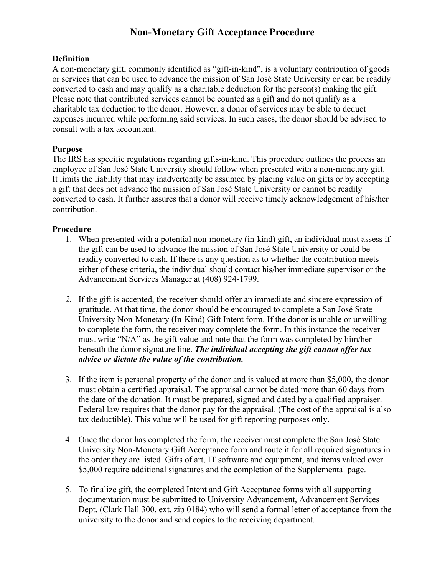## **Non-Monetary Gift Acceptance Procedure**

## **Definition**

A non-monetary gift, commonly identified as "gift-in-kind", is a voluntary contribution of goods or services that can be used to advance the mission of San José State University or can be readily converted to cash and may qualify as a charitable deduction for the person(s) making the gift. Please note that contributed services cannot be counted as a gift and do not qualify as a charitable tax deduction to the donor. However, a donor of services may be able to deduct expenses incurred while performing said services. In such cases, the donor should be advised to consult with a tax accountant.

## **Purpose**

The IRS has specific regulations regarding gifts-in-kind. This procedure outlines the process an employee of San José State University should follow when presented with a non-monetary gift. It limits the liability that may inadvertently be assumed by placing value on gifts or by accepting a gift that does not advance the mission of San José State University or cannot be readily converted to cash. It further assures that a donor will receive timely acknowledgement of his/her contribution.

## **Procedure**

- 1. When presented with a potential non-monetary (in-kind) gift, an individual must assess if the gift can be used to advance the mission of San José State University or could be readily converted to cash. If there is any question as to whether the contribution meets either of these criteria, the individual should contact his/her immediate supervisor or the Advancement Services Manager at (408) 924-1799.
- *2.* If the gift is accepted, the receiver should offer an immediate and sincere expression of gratitude. At that time, the donor should be encouraged to complete a San José State University Non-Monetary (In-Kind) Gift Intent form. If the donor is unable or unwilling to complete the form, the receiver may complete the form. In this instance the receiver must write "N/A" as the gift value and note that the form was completed by him/her beneath the donor signature line. *The individual accepting the gift cannot offer tax advice or dictate the value of the contribution.*
- 3. If the item is personal property of the donor and is valued at more than \$5,000, the donor must obtain a certified appraisal. The appraisal cannot be dated more than 60 days from the date of the donation. It must be prepared, signed and dated by a qualified appraiser. Federal law requires that the donor pay for the appraisal. (The cost of the appraisal is also tax deductible). This value will be used for gift reporting purposes only.
- 4. Once the donor has completed the form, the receiver must complete the San José State University Non-Monetary Gift Acceptance form and route it for all required signatures in the order they are listed. Gifts of art, IT software and equipment, and items valued over \$5,000 require additional signatures and the completion of the Supplemental page.
- 5. To finalize gift, the completed Intent and Gift Acceptance forms with all supporting documentation must be submitted to University Advancement, Advancement Services Dept. (Clark Hall 300, ext. zip 0184) who will send a formal letter of acceptance from the university to the donor and send copies to the receiving department.